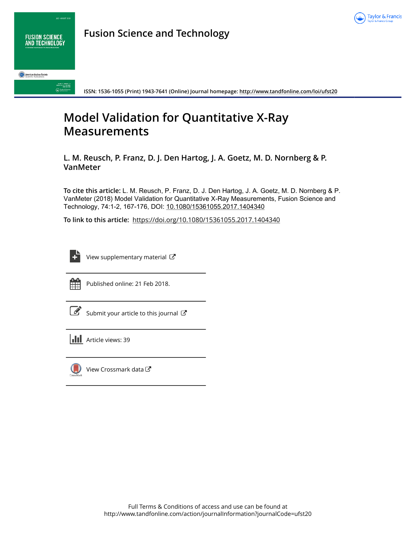

Fusion Science and Technology

ISSN: 1536-1055 (Print) 1943-7641 (Online) Journal homepage: http://www.tandfonline.com/loi/ufst20

# Model Validation for Quantitative X-Ray Measurements

L. M. Reusch, P. Franz, D. J. Den Hartog, J. A. Goetz, M. D. Nornberg & P. VanMeter

To cite this article: L. M. Reusch, P. Franz, D. J. Den Hartog, J. A. Goetz, M. D. Nornberg & P. VanMeter (2018) Model Validation for Quantitative X-Ray Measurements, Fusion Science and Technology, 74:1-2, 167-176, DOI: 10.1080/15361055.2017.1404340

To link to this article: https://doi.org/10.1080/15361055.2017.1404340



View supplementary material  $\mathbb{Z}^n$ 



Published online: 21 Feb 2018.

| i |
|---|

Submit your article to this journal  $\mathbb{Z}$ 



View Crossmark data<sup>C</sup>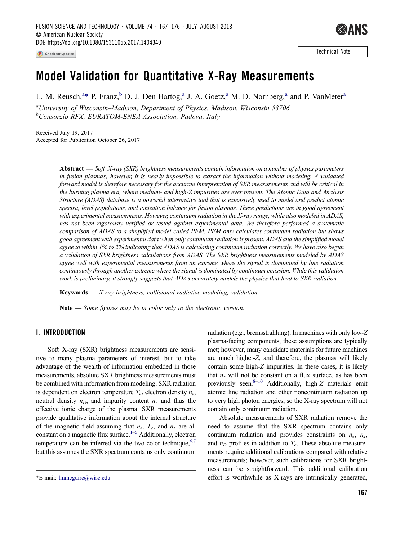Check for updates



Technical Note

## Model Validation for Quantitative X-Ray Measurements

L. M. Reusch,<sup>a\*</sup> P. Franz, <sup>b</sup> D. J. Den Hartog, <sup>a</sup> J. A. Goetz, <sup>a</sup> M. D. Nornberg, <sup>a</sup> and P. VanMeter<sup>a</sup>

<sup>a</sup>University of Wisconsin–Madison, Department of Physics, Madison, Wisconsin 53706 <sup>b</sup>Consorzio RFX, EURATOM-ENEA Association, Padova, Italy

Received July 19, 2017 Accepted for Publication October 26, 2017

> Abstract — Soft-X-ray (SXR) brightness measurements contain information on a number of physics parameters in fusion plasmas; however, it is nearly impossible to extract the information without modeling. A validated forward model is therefore necessary for the accurate interpretation of SXR measurements and will be critical in the burning plasma era, where medium- and high-Z impurities are ever present. The Atomic Data and Analysis Structure (ADAS) database is a powerful interpretive tool that is extensively used to model and predict atomic spectra, level populations, and ionization balance for fusion plasmas. These predictions are in good agreement with experimental measurements. However, continuum radiation in the X-ray range, while also modeled in ADAS, has not been rigorously verified or tested against experimental data. We therefore performed a systematic comparison of ADAS to a simplified model called PFM. PFM only calculates continuum radiation but shows good agreement with experimental data when only continuum radiation is present. ADAS and the simplified model agree to within 1% to 2% indicating that ADAS is calculating continuum radiation correctly. We have also begun a validation of SXR brightness calculations from ADAS. The SXR brightness measurements modeled by ADAS agree well with experimental measurements from an extreme where the signal is dominated by line radiation continuously through another extreme where the signal is dominated by continuum emission. While this validation work is preliminary, it strongly suggests that ADAS accurately models the physics that lead to SXR radiation.

Keywords  $-X$ -ray brightness, collisional-radiative modeling, validation.

Note — Some figures may be in color only in the electronic version.

#### I. INTRODUCTION

Soft–X-ray (SXR) brightness measurements are sensitive to many plasma parameters of interest, but to take advantage of the wealth of information embedded in those measurements, absolute SXR brightness measurements must be combined with information from modeling. SXR radiation is dependent on electron temperature  $T_e$ , electron density  $n_e$ , neutral density  $n_D$ , and impurity content  $n_z$  and thus the effective ionic charge of the plasma. SXR measurements provide qualitative information about the internal structure of the magnetic field assuming that  $n_e$ ,  $T_e$ , and  $n_z$  are all constant on a magnetic flux surface. <sup>1</sup>–<sup>5</sup> Additionally, electron temperature can be inferred via the two-color technique,<sup>6,7</sup> but this assumes the SXR spectrum contains only continuum radiation (e.g., bremsstrahlung). In machines with only low-Z plasma-facing components, these assumptions are typically met; however, many candidate materials for future machines are much higher-Z, and therefore, the plasmas will likely contain some high-Z impurities. In these cases, it is likely that  $n_z$  will not be constant on a flux surface, as has been previously seen. <sup>8</sup>–<sup>10</sup> Additionally, high-Z materials emit atomic line radiation and other noncontinuum radiation up to very high photon energies, so the X-ray spectrum will not contain only continuum radiation.

Absolute measurements of SXR radiation remove the need to assume that the SXR spectrum contains only continuum radiation and provides constraints on  $n_e$ ,  $n_z$ , and  $n_D$  profiles in addition to  $T_e$ . These absolute measurements require additional calibrations compared with relative measurements; however, such calibrations for SXR brightness can be straightforward. This additional calibration \*E-mail: lmmcguire@wisc.edu effort is worthwhile as X-rays are intrinsically generated,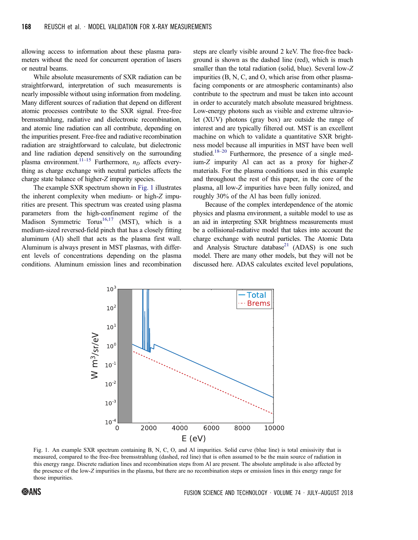allowing access to information about these plasma parameters without the need for concurrent operation of lasers or neutral beams.

While absolute measurements of SXR radiation can be straightforward, interpretation of such measurements is nearly impossible without using information from modeling. Many different sources of radiation that depend on different atomic processes contribute to the SXR signal. Free-free bremsstrahlung, radiative and dielectronic recombination, and atomic line radiation can all contribute, depending on the impurities present. Free-free and radiative recombination radiation are straightforward to calculate, but dielectronic and line radiation depend sensitively on the surrounding plasma environment.<sup>11–15</sup> Furthermore,  $n_D$  affects everything as charge exchange with neutral particles affects the charge state balance of higher-Z impurity species.

The example SXR spectrum shown in Fig. 1 illustrates the inherent complexity when medium- or high-Z impurities are present. This spectrum was created using plasma parameters from the high-confinement regime of the Madison Symmetric Torus<sup>16,17</sup> (MST), which is a medium-sized reversed-field pinch that has a closely fitting aluminum (Al) shell that acts as the plasma first wall. Aluminum is always present in MST plasmas, with different levels of concentrations depending on the plasma conditions. Aluminum emission lines and recombination

steps are clearly visible around 2 keV. The free-free background is shown as the dashed line (red), which is much smaller than the total radiation (solid, blue). Several low-Z impurities (B, N, C, and O, which arise from other plasmafacing components or are atmospheric contaminants) also contribute to the spectrum and must be taken into account in order to accurately match absolute measured brightness. Low-energy photons such as visible and extreme ultraviolet (XUV) photons (gray box) are outside the range of interest and are typically filtered out. MST is an excellent machine on which to validate a quantitative SXR brightness model because all impurities in MST have been well studied.<sup>18–20</sup> Furthermore, the presence of a single medium-Z impurity Al can act as a proxy for higher-Z materials. For the plasma conditions used in this example and throughout the rest of this paper, in the core of the plasma, all low-Z impurities have been fully ionized, and roughly 30% of the Al has been fully ionized.

Because of the complex interdependence of the atomic physics and plasma environment, a suitable model to use as an aid in interpreting SXR brightness measurements must be a collisional-radiative model that takes into account the charge exchange with neutral particles. The Atomic Data and Analysis Structure database <sup>21</sup> (ADAS) is one such model. There are many other models, but they will not be discussed here. ADAS calculates excited level populations,



Fig. 1. An example SXR spectrum containing B, N, C, O, and Al impurities. Solid curve (blue line) is total emissivity that is measured, compared to the free-free bremsstrahlung (dashed, red line) that is often assumed to be the main source of radiation in this energy range. Discrete radiation lines and recombination steps from Al are present. The absolute amplitude is also affected by the presence of the low-Z impurities in the plasma, but there are no recombination steps or emission lines in this energy range for those impurities.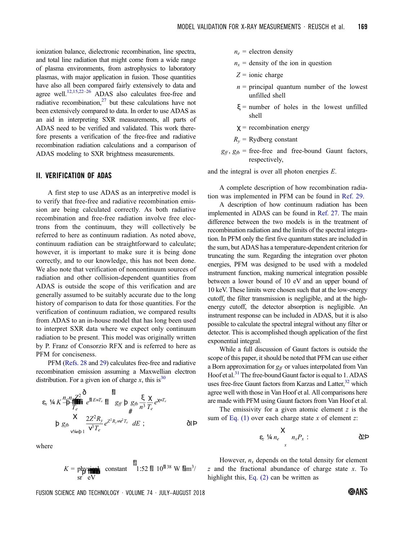ionization balance, dielectronic recombination, line spectra, and total line radiation that might come from a wide range of plasma environments, from astrophysics to laboratory plasmas, with major application in fusion. Those quantities have also all been compared fairly extensively to data and agree well. 12,15,22–<sup>26</sup> ADAS also calculates free-free and radiative recombination, <sup>27</sup> but these calculations have not been extensively compared to data. In order to use ADAS as an aid in interpreting SXR measurements, all parts of ADAS need to be verified and validated. This work therefore presents a verification of the free-free and radiative recombination radiation calculations and a comparison of ADAS modeling to SXR brightness measurements.

### II. VERIFICATION OF ADAS

A first step to use ADAS as an interpretive model is to verify that free-free and radiative recombination emission are being calculated correctly. As both radiative recombination and free-free radiation involve free electrons from the continuum, they will collectively be referred to here as continuum radiation. As noted above, continuum radiation can be straightforward to calculate; however, it is important to make sure it is being done correctly, and to our knowledge, this has not been done. We also note that verification of noncontinuum sources of radiation and other collision-dependent quantities from ADAS is outside the scope of this verification and are generally assumed to be suitably accurate due to the long history of comparison to data for those quantities. For the verification of continuum radiation, we compared results from ADAS to an in-house model that has long been used to interpret SXR data where we expect only continuum radiation to be present. This model was originally written by P. Franz of Consorzio RFX and is referred to here as PFM for conciseness.

PFM (Refs. 28 and 29) calculates free-free and radiative recombination emission assuming a Maxwellian electron distribution. For a given ion of charge x, this is<sup>30</sup>

$$
\varepsilon_{x} \, \mathcal{U}_{A} \, K \stackrel{n_{e}n_{\text{r}} \to 2}{\longrightarrow} \, \frac{\partial}{T_{e}} \, e^{\mathcal{U}_{E} = T_{e}} \, \mathcal{U}_{B} \quad \text{g}_{ff} \, \mathsf{b} \, g_{fb} \, \frac{\xi}{n^{3}} \frac{\chi}{T_{e}} e^{\chi = T_{e}}
$$
\n
$$
\mathsf{b} \, g_{fb} \, \underset{\mathsf{v}/\mathsf{u}_{n}\mathsf{b}}{\times} \frac{2Z^{2} R_{y}}{\sqrt{^{3} T_{e}}} e^{Z^{2} R_{y} = \mathsf{v}^{2} T_{e}} \, dE \ ; \qquad \qquad \mathsf{\tilde{O}} \, \mathsf{b}
$$

where

$$
K = \text{phy}
$$
  
sr  $eV$  constant  $1:52$   $\text{m} \cdot 10^{20}$   $10^{20}$   $\text{m} \cdot 38$   $\text{W} \cdot \text{m} \cdot 37$ 

FUSION SCIENCE AND TECHNOLOGY · VOLUME 74 · JULY–AUGUST 2018

- $n_e$  = electron density
- $n_x$  = density of the ion in question
- $Z = ionic charge$
- $n =$  principal quantum number of the lowest unfilled shell
- $\xi$  = number of holes in the lowest unfilled shell
- $x =$  recombination energy
- $R<sub>v</sub>$  = Rydberg constant
- $g_{ff}$ ,  $g_{fb}$  = free-free and free-bound Gaunt factors, respectively,

and the integral is over all photon energies E.

A complete description of how recombination radiation was implemented in PFM can be found in Ref. 29.

A description of how continuum radiation has been implemented in ADAS can be found in Ref. 27. The main difference between the two models is in the treatment of recombination radiation and the limits of the spectral integration. In PFM only the first five quantum states are included in the sum, but ADAS has a temperature-dependent criterion for truncating the sum. Regarding the integration over photon energies, PFM was designed to be used with a modeled instrument function, making numerical integration possible between a lower bound of 10 eV and an upper bound of 10 keV. These limits were chosen such that at the low-energy cutoff, the filter transmission is negligible, and at the highenergy cutoff, the detector absorption is negligible. An instrument response can be included in ADAS, but it is also possible to calculate the spectral integral without any filter or detector. This is accomplished though application of the first exponential integral.

While a full discussion of Gaunt factors is outside the scope of this paper, it should be noted that PFM can use either a Born approximation for  $g_f$  or values interpolated from Van Hoof et al.<sup>31</sup> The free-bound Gaunt factor is equal to 1. ADAS uses free-free Gaunt factors from Karzas and Latter,<sup>32</sup> which agree well with those in Van Hoof et al. All comparisons here are made with PFM using Gaunt factors from Van Hoof et al.

The emissivity for a given atomic element  $z$  is the sum of Eq.  $(1)$  over each charge state x of element z:

$$
\sum_{\mathcal{E}_z} \frac{X}{\gamma_A n_e} \cdot n_x P_x : \quad \text{Q.P.}
$$

However,  $n_x$  depends on the total density for element  $z$  and the fractional abundance of charge state  $x$ . To highlight this, Eq. (2) can be written as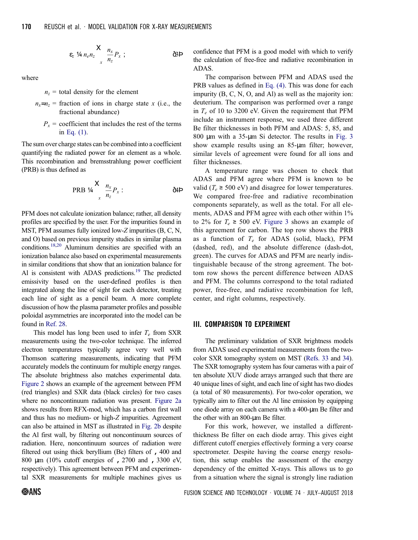$$
\varepsilon_{z} \, \mathcal{V}_{4} \, n_{e} n_{z} \, \sum_{x} \, \frac{n_{x}}{n_{z}} P_{x} \, ; \qquad \qquad \text{d} \mathcal{P}
$$

where

 $n_z$  = total density for the element

- $n_x=n_z$  = fraction of ions in charge state x (i.e., the fractional abundance)
	- $P_x$  = coefficient that includes the rest of the terms in Eq. (1).

The sum over charge states can be combined into a coefficient quantifying the radiated power for an element as a whole. This recombination and bremsstrahlung power coefficient (PRB) is thus defined as

PRB 
$$
\frac{X}{4} \frac{n_x}{n_z} P_x
$$
:

PFM does not calculate ionization balance; rather, all density profiles are specified by the user. For the impurities found in MST, PFM assumes fully ionized low-Z impurities (B, C, N, and O) based on previous impurity studies in similar plasma conditions. 18,20 Aluminum densities are specified with an ionization balance also based on experimental measurements in similar conditions that show that an ionization balance for Al is consistent with ADAS predictions.<sup>19</sup> The predicted emissivity based on the user-defined profiles is then integrated along the line of sight for each detector, treating each line of sight as a pencil beam. A more complete discussion of how the plasma parameter profiles and possible poloidal asymmetries are incorporated into the model can be found in Ref. 28.

This model has long been used to infer  $T_e$  from SXR measurements using the two-color technique. The inferred electron temperatures typically agree very well with Thomson scattering measurements, indicating that PFM accurately models the continuum for multiple energy ranges. The absolute brightness also matches experimental data. Figure 2 shows an example of the agreement between PFM (red triangles) and SXR data (black circles) for two cases where no noncontinuum radiation was present. Figure 2a shows results from RFX-mod, which has a carbon first wall and thus has no medium- or high-Z impurities. Agreement can also be attained in MST as illustrated in Fig. 2b despite the Al first wall, by filtering out noncontinuum sources of radiation. Here, noncontinuum sources of radiation were filtered out using thick beryllium (Be) filters of , 400 and 800 μm (10% cutoff energies of , 2700 and , 3300 eV, respectively). This agreement between PFM and experimental SXR measurements for multiple machines gives us

confidence that PFM is a good model with which to verify the calculation of free-free and radiative recombination in ADAS.

The comparison between PFM and ADAS used the PRB values as defined in Eq. (4). This was done for each impurity (B, C, N, O, and Al) as well as the majority ion: deuterium. The comparison was performed over a range in  $T_e$  of 10 to 3200 eV. Given the requirement that PFM include an instrument response, we used three different Be filter thicknesses in both PFM and ADAS: 5, 85, and 800 μm with a 35-μm Si detector. The results in Fig. 3 show example results using an 85-um filter; however, similar levels of agreement were found for all ions and filter thicknesses.

A temperature range was chosen to check that ADAS and PFM agree where PFM is known to be valid ( $T_e \ge 500$  eV) and disagree for lower temperatures. We compared free-free and radiative recombination components separately, as well as the total. For all elements, ADAS and PFM agree with each other within 1% to 2% for  $T_e \ge 500$  eV. Figure 3 shows an example of this agreement for carbon. The top row shows the PRB as a function of  $T_e$  for ADAS (solid, black), PFM (dashed, red), and the absolute difference (dash-dot, green). The curves for ADAS and PFM are nearly indistinguishable because of the strong agreement. The bottom row shows the percent difference between ADAS and PFM. The columns correspond to the total radiated power, free-free, and radiative recombination for left, center, and right columns, respectively.

#### III. COMPARISON TO EXPERIMENT

The preliminary validation of SXR brightness models from ADAS used experimental measurements from the twocolor SXR tomography system on MST (Refs. 33 and 34). The SXR tomography system has four cameras with a pair of ten absolute XUV diode arrays arranged such that there are 40 unique lines of sight, and each line of sight hastwo diodes (a total of 80 measurements). For two-color operation, we typically aim to filter out the Al line emission by equipping one diode array on each camera with a 400-μm Be filter and the other with an 800-μm Be filter.

For this work, however, we installed a differentthickness Be filter on each diode array. This gives eight different cutoff energies effectively forming a very coarse spectrometer. Despite having the coarse energy resolution, this setup enables the assessment of the energy dependency of the emitted X-rays. This allows us to go from a situation where the signal is strongly line radiation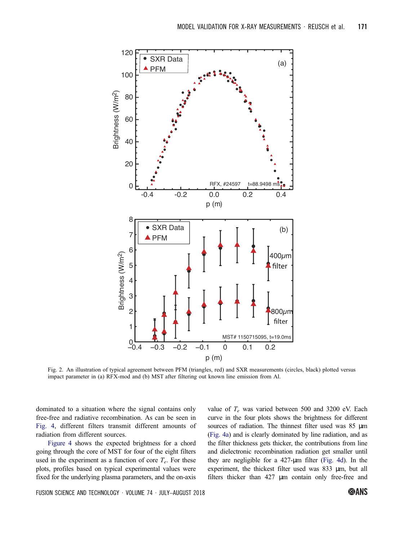

Fig. 2. An illustration of typical agreement between PFM (triangles, red) and SXR measurements (circles, black) plotted versus impact parameter in (a) RFX-mod and (b) MST after filtering out known line emission from Al.

dominated to a situation where the signal contains only free-free and radiative recombination. As can be seen in Fig. 4, different filters transmit different amounts of radiation from different sources.

Figure 4 shows the expected brightness for a chord going through the core of MST for four of the eight filters used in the experiment as a function of core  $T_e$ . For these plots, profiles based on typical experimental values were fixed for the underlying plasma parameters, and the on-axis value of  $T_e$  was varied between 500 and 3200 eV. Each curve in the four plots shows the brightness for different sources of radiation. The thinnest filter used was 85 μm (Fig. 4a) and is clearly dominated by line radiation, and as the filter thickness gets thicker, the contributions from line and dielectronic recombination radiation get smaller until they are negligible for a 427-μm filter (Fig. 4d). In the experiment, the thickest filter used was 833 μm, but all filters thicker than 427 μm contain only free-free and

FUSION SCIENCE AND TECHNOLOGY · VOLUME 74 · JULY–AUGUST 2018

**@ANS**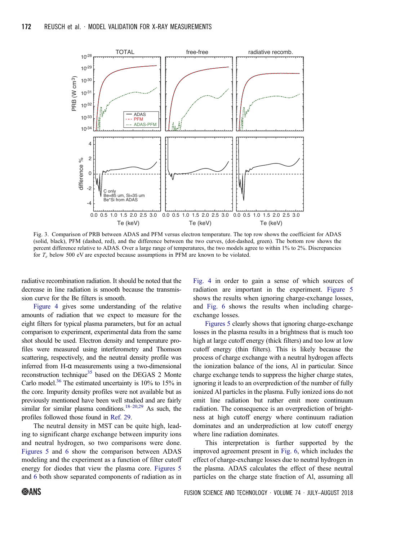

Fig. 3. Comparison of PRB between ADAS and PFM versus electron temperature. The top row shows the coefficient for ADAS (solid, black), PFM (dashed, red), and the difference between the two curves, (dot-dashed, green). The bottom row shows the percent difference relative to ADAS. Over a large range of temperatures, the two models agree to within 1% to 2%. Discrepancies for  $T_e$  below 500 eV are expected because assumptions in PFM are known to be violated.

radiative recombination radiation. It should be noted that the decrease in line radiation is smooth because the transmission curve for the Be filters is smooth.

Figure 4 gives some understanding of the relative amounts of radiation that we expect to measure for the eight filters for typical plasma parameters, but for an actual comparison to experiment, experimental data from the same shot should be used. Electron density and temperature profiles were measured using interferometry and Thomson scattering, respectively, and the neutral density profile was inferred from H-α measurements using a two-dimensional reconstruction technique<sup>35</sup> based on the DEGAS 2 Monte Carlo model.<sup>36</sup> The estimated uncertainty is 10% to 15% in the core. Impurity density profiles were not available but as previously mentioned have been well studied and are fairly similar for similar plasma conditions.<sup>18–20,29</sup> As such, the profiles followed those found in Ref. 29.

The neutral density in MST can be quite high, leading to significant charge exchange between impurity ions and neutral hydrogen, so two comparisons were done. Figures 5 and 6 show the comparison between ADAS modeling and the experiment as a function of filter cutoff energy for diodes that view the plasma core. Figures 5 and 6 both show separated components of radiation as in Fig. 4 in order to gain a sense of which sources of radiation are important in the experiment. Figure 5 shows the results when ignoring charge-exchange losses, and Fig. 6 shows the results when including chargeexchange losses.

Figures 5 clearly shows that ignoring charge-exchange losses in the plasma results in a brightness that is much too high at large cutoff energy (thick filters) and too low at low cutoff energy (thin filters). This is likely because the process of charge exchange with a neutral hydrogen affects the ionization balance of the ions, Al in particular. Since charge exchange tends to suppress the higher charge states, ignoring it leads to an overprediction of the number of fully ionized Al particles in the plasma. Fully ionized ions do not emit line radiation but rather emit more continuum radiation. The consequence is an overprediction of brightness at high cutoff energy where continuum radiation dominates and an underprediction at low cutoff energy where line radiation dominates.

This interpretation is further supported by the improved agreement present in Fig. 6, which includes the effect of charge-exchange losses due to neutral hydrogen in the plasma. ADAS calculates the effect of these neutral particles on the charge state fraction of Al, assuming all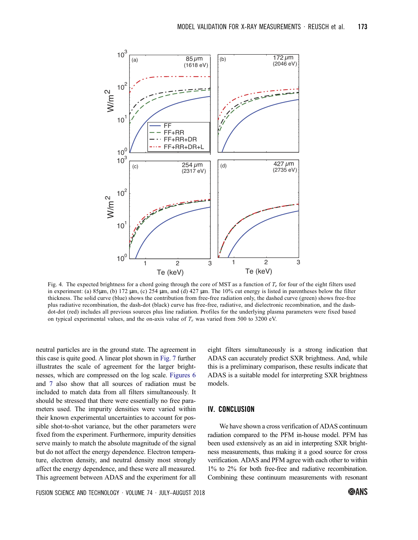

Fig. 4. The expected brightness for a chord going through the core of MST as a function of  $T_e$  for four of the eight filters used in experiment: (a)  $85\mu$ m, (b) 172  $\mu$ m, (c) 254  $\mu$ m, and (d) 427  $\mu$ m. The 10% cut energy is listed in parentheses below the filter thickness. The solid curve (blue) shows the contribution from free-free radiation only, the dashed curve (green) shows free-free plus radiative recombination, the dash-dot (black) curve has free-free, radiative, and dielectronic recombination, and the dashdot-dot (red) includes all previous sources plus line radiation. Profiles for the underlying plasma parameters were fixed based on typical experimental values, and the on-axis value of  $T_e$  was varied from 500 to 3200 eV.

neutral particles are in the ground state. The agreement in this case is quite good. A linear plot shown in Fig. 7 further illustrates the scale of agreement for the larger brightnesses, which are compressed on the log scale. Figures 6 and 7 also show that all sources of radiation must be included to match data from all filters simultaneously. It should be stressed that there were essentially no free parameters used. The impurity densities were varied within their known experimental uncertainties to account for possible shot-to-shot variance, but the other parameters were fixed from the experiment. Furthermore, impurity densities serve mainly to match the absolute magnitude of the signal but do not affect the energy dependence. Electron temperature, electron density, and neutral density most strongly affect the energy dependence, and these were all measured. This agreement between ADAS and the experiment for all

FUSION SCIENCE AND TECHNOLOGY · VOLUME 74 · JULY–AUGUST 2018

eight filters simultaneously is a strong indication that ADAS can accurately predict SXR brightness. And, while this is a preliminary comparison, these results indicate that ADAS is a suitable model for interpreting SXR brightness models.

#### IV. CONCLUSION

We have shown a cross verification of ADAS continuum radiation compared to the PFM in-house model. PFM has been used extensively as an aid in interpreting SXR brightness measurements, thus making it a good source for cross verification. ADAS and PFM agree with each other to within 1% to 2% for both free-free and radiative recombination. Combining these continuum measurements with resonant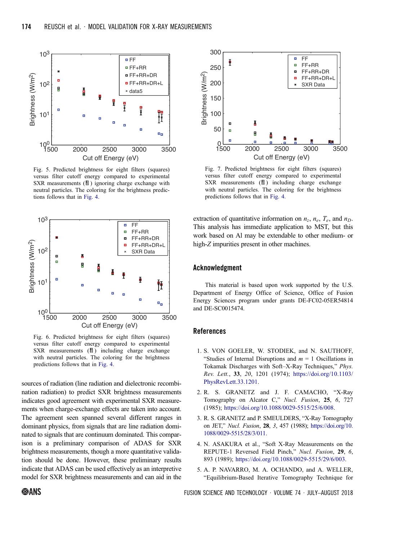

Fig. 5. Predicted brightness for eight filters (squares) versus filter cutoff energy compared to experimental SXR measurements  $(\blacksquare)$  ignoring charge exchange with neutral particles. The coloring for the brightness predictions follows that in Fig. 4.



Fig. 6. Predicted brightness for eight filters (squares) versus filter cutoff energy compared to experimental SXR measurements  $(\blacksquare)$  including charge exchange with neutral particles. The coloring for the brightness predictions follows that in Fig. 4.

sources of radiation (line radiation and dielectronic recombination radiation) to predict SXR brightness measurements indicates good agreement with experimental SXR measurements when charge-exchange effects are taken into account. The agreement seen spanned several different ranges in dominant physics, from signals that are line radiation dominated to signals that are continuum dominated. This comparison is a preliminary comparison of ADAS for SXR brightness measurements, though a more quantitative validation should be done. However, these preliminary results indicate that ADAS can be used effectively as an interpretive model for SXR brightness measurements and can aid in the



Fig. 7. Predicted brightness for eight filters (squares) versus filter cutoff energy compared to experimental SXR measurements  $(\blacksquare)$  including charge exchange with neutral particles. The coloring for the brightness predictions follows that in Fig. 4.

extraction of quantitative information on  $n_z$ ,  $n_e$ ,  $T_e$ , and  $n_D$ . This analysis has immediate application to MST, but this work based on Al may be extendable to other medium- or high-Z impurities present in other machines.

#### Acknowledgment

This material is based upon work supported by the U.S. Department of Energy Office of Science, Office of Fusion Energy Sciences program under grants DE-FC02-05ER54814 and DE-SC0015474.

#### References

- 1. S. VON GOELER, W. STODIEK, and N. SAUTHOFF, "Studies of Internal Disruptions and  $m = 1$  Oscillations in Tokamak Discharges with Soft-X-Ray Techniques," Phys. Rev. Lett., 33, 20, 1201 (1974); https://doi.org/10.1103/ PhysRevLett.33.1201.
- 2. R. S. GRANETZ and J. F. CAMACHO, "X-Ray Tomography on Alcator C," Nucl. Fusion, 25, 6, 727 (1985); https://doi.org/10.1088/0029-5515/25/6/008.
- 3. R. S. GRANETZ and P. SMEULDERS, "X-Ray Tomography on JET," Nucl. Fusion, 28, 3, 457 (1988); https://doi.org/10. 1088/0029-5515/28/3/011.
- 4. N. ASAKURA et al., "Soft X-Ray Measurements on the REPUTE-1 Reversed Field Pinch," Nucl. Fusion, 29, 6, 893 (1989); https://doi.org/10.1088/0029-5515/29/6/003.
- 5. A. P. NAVARRO, M. A. OCHANDO, and A. WELLER, "Equilibrium-Based Iterative Tomography Technique for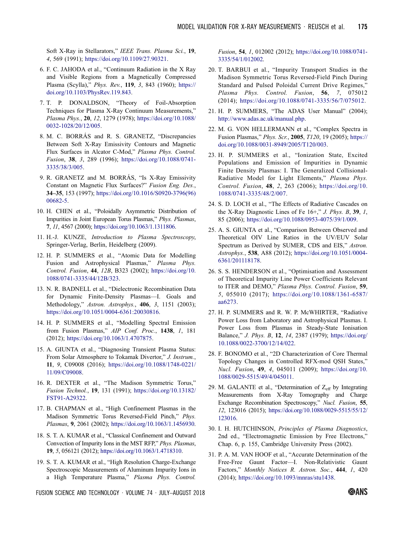Soft X-Ray in Stellarators," IEEE Trans. Plasma Sci., 19, 4, 569 (1991); https://doi.org/10.1109/27.90321.

- 6. F. C. JAHODA et al., "Continuum Radiation in the X Ray and Visible Regions from a Magnetically Compressed Plasma (Scylla)," Phys. Rev., 119, 3, 843 (1960); https:// doi.org/10.1103/PhysRev.119.843.
- 7. T. P. DONALDSON, "Theory of Foil-Absorption Techniques for Plasma X-Ray Continuum Measurements, " Plasma Phys., 20, 12, 1279 (1978); https://doi.org/10.1088/ 0032-1028/20/12/005.
- 8. M. C. BORRÁS and R. S. GRANETZ, "Discrepancies Between Soft X-Ray Emissivity Contours and Magnetic Flux Surfaces in Alcator C-Mod," Plasma Phys. Control. Fusion, 38, 3, 289 (1996); https://doi.org/10.1088/0741- 3335/38/3/005.
- 9. R. GRANETZ and M. BORRÁS, "Is X-Ray Emissivity Constant on Magnetic Flux Surfaces?" Fusion Eng. Des., 34–35, 153 (1997); https://doi.org/10.1016/S0920-3796(96) 00682-5.
- 10. H. CHEN et al., "Poloidally Asymmetric Distribution of Impurities in Joint European Torus Plasmas," Phys. Plasmas, 7, 11, 4567 (2000); https://doi.org/10.1063/1.1311806.
- 11. H.-J. KUNZE, Introduction to Plasma Spectroscopy, Springer-Verlag, Berlin, Heidelberg (2009).
- 12. H. P. SUMMERS et al., "Atomic Data for Modelling Fusion and Astrophysical Plasmas," Plasma Phys. Control. Fusion, 44, 12B, B323 (2002); https://doi.org/10. 1088/0741-3335/44/12B/323.
- 13. N. R. BADNELL et al., "Dielectronic Recombination Data for Dynamic Finite-Density Plasmas—I. Goals and Methodology," Astron. Astrophys., 406, 3, 1151 (2003); https://doi.org/10.1051/0004-6361:20030816.
- 14. H. P. SUMMERS et al., "Modelling Spectral Emission from Fusion Plasmas," AIP Conf. Proc., 1438, 1, 181 (2012); https://doi.org/10.1063/1.4707875.
- 15. A. GIUNTA et al., "Diagnosing Transient Plasma Status: From Solar Atmosphere to Tokamak Divertor," J. Instrum., 11, 9, C09008 (2016); https://doi.org/10.1088/1748-0221/ 11/09/C09008.
- 16. R. DEXTER et al., "The Madison Symmetric Torus, " Fusion Technol., 19, 131 (1991); https://doi.org/10.13182/ FST91-A29322.
- 17. B. CHAPMAN et al., "High Confinement Plasmas in the Madison Symmetric Torus Reversed-Field Pinch," Phys. Plasmas, 9, 2061 (2002); https://doi.org/10.1063/1.1456930.
- 18. S. T. A. KUMAR et al., "Classical Confinement and Outward Convection of Impurity Ions in the MST RFP," Phys. Plasmas, 19, 5, 056121 (2012); https://doi.org/10.1063/1.4718310.
- 19. S. T. A. KUMAR et al., "High Resolution Charge-Exchange Spectroscopic Measurements of Aluminum Impurity Ions in a High Temperature Plasma," Plasma Phys. Control.

FUSION SCIENCE AND TECHNOLOGY · VOLUME 74 · JULY–AUGUST 2018

Fusion, 54, 1, 012002 (2012); https://doi.org/10.1088/0741- 3335/54/1/012002.

- 20. T. BARBUI et al., "Impurity Transport Studies in the Madison Symmetric Torus Reversed-Field Pinch During Standard and Pulsed Poloidal Current Drive Regimes, " Plasma Phys. Control. Fusion, 56, 7, 075012 (2014); https://doi.org/10.1088/0741-3335/56/7/075012.
- 21. H. P. SUMMERS, "The ADAS User Manual" (2004); http://www.adas.ac.uk/manual.php.
- 22. M. G. VON HELLERMANN et al., "Complex Spectra in Fusion Plasmas," Phys. Scr., 2005, T120, 19 (2005); https:// doi.org/10.1088/0031-8949/2005/T120/003.
- 23. H. P. SUMMERS et al., "Ionization State, Excited Populations and Emission of Impurities in Dynamic Finite Density Plasmas: I. The Generalized Collisional-Radiative Model for Light Elements," Plasma Phys. Control. Fusion, 48, 2, 263 (2006); https://doi.org/10. 1088/0741-3335/48/2/007.
- 24. S. D. LOCH et al., "The Effects of Radiative Cascades on the X-Ray Diagnostic Lines of Fe  $16+$ ," J. Phys. B, 39, 1, 85 (2006); https://doi.org/10.1088/0953-4075/39/1/009.
- 25. A. S. GIUNTA et al., "Comparison Between Observed and Theoretical OIV Line Ratios in the UV/EUV Solar Spectrum as Derived by SUMER, CDS and EIS," Astron. Astrophys., 538, A88 (2012); https://doi.org/10.1051/0004- 6361/201118178.
- 26. S. S. HENDERSON et al., "Optimisation and Assessment of Theoretical Impurity Line Power Coefficients Relevant to ITER and DEMO," Plasma Phys. Control. Fusion, 59, 5, 055010 (2017); https://doi.org/10.1088/1361-6587/ aa6273.
- 27. H. P. SUMMERS and R. W. P. McWHIRTER, "Radiative Power Loss from Laboratory and Astrophysical Plasmas. I. Power Loss from Plasmas in Steady-State Ionisation Balance," J. Phys. B, 12, 14, 2387 (1979); https://doi.org/ 10.1088/0022-3700/12/14/022.
- 28. F. BONOMO et al., "2D Characterization of Core Thermal Topology Changes in Controlled RFX-mod QSH States, " Nucl. Fusion, 49, 4, 045011 (2009); https://doi.org/10. 1088/0029-5515/49/4/045011.
- 29. M. GALANTE et al., "Determination of Z<sub>eff</sub> by Integrating Measurements from X-Ray Tomography and Charge Exchange Recombination Spectroscopy," Nucl. Fusion, 55, 12, 123016 (2015); https://doi.org/10.1088/0029-5515/55/12/ 123016.
- 30. I. H. HUTCHINSON, Principles of Plasma Diagnostics, 2nd ed., "Electromagnetic Emission by Free Electrons, " Chap. 6, p. 155, Cambridge University Press (2002).
- 31. P. A. M. VAN HOOF et al., "Accurate Determination of the Free-Free Gaunt Factor—I. Non-Relativistic Gaunt Factors," Monthly Notices R. Astron. Soc., 444, 1, 420 (2014); https://doi.org/10.1093/mnras/stu1438.